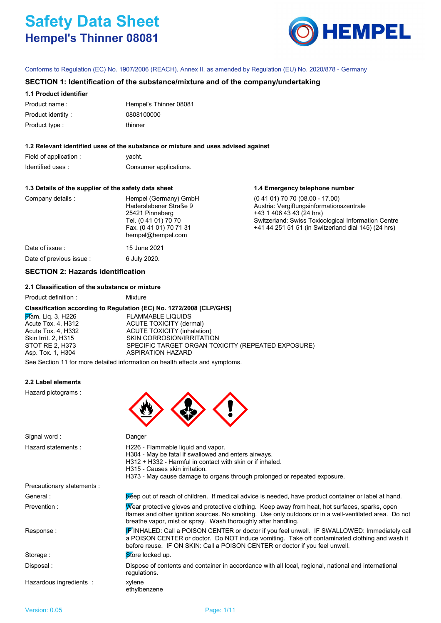# **Safety Data Sheet Hempel's Thinner 08081**



**1.4 Emergency telephone number**

Conforms to Regulation (EC) No. 1907/2006 (REACH), Annex II, as amended by Regulation (EU) No. 2020/878 - Germany

### **SECTION 1: Identification of the substance/mixture and of the company/undertaking**

### **1.1 Product identifier**

| Product name:     | Hempel's Thinner 08081 |
|-------------------|------------------------|
| Product identity: | 0808100000             |
| Product type :    | thinner                |

### **1.2 Relevant identified uses of the substance or mixture and uses advised against**

| Field of application : | yacht.                 |
|------------------------|------------------------|
| Identified uses:       | Consumer applications. |

### **1.3 Details of the supplier of the safety data sheet**

| Company details : | Hempel (Germany) GmbH<br>Haderslebener Straße 9<br>25421 Pinneberg<br>Tel. (0 41 01) 70 70<br>Fax. (0 41 01) 70 71 31<br>hempel@hempel.com | $(0.41.01)$ 70 70 $(08.00 - 17.00)$<br>Austria: Vergiftungsinformationszentrale<br>+43 1 406 43 43 (24 hrs)<br>Switzerland: Swiss Toxicological Information Centre<br>+41 44 251 51 51 (in Switzerland dial 145) (24 hrs) |
|-------------------|--------------------------------------------------------------------------------------------------------------------------------------------|---------------------------------------------------------------------------------------------------------------------------------------------------------------------------------------------------------------------------|
| Date of issue :   | 15 June 2021                                                                                                                               |                                                                                                                                                                                                                           |

Date of previous issue : 6 July 2020.

## **SECTION 2: Hazards identification**

### **2.1 Classification of the substance or mixture**

Product definition : Mixture

### **Classification according to Regulation (EC) No. 1272/2008 [CLP/GHS]**

**Flam.** Liq. 3, H226 FLAMMABLE LIQUIDS Acute Tox. 4, H312 ACUTE TOXICITY (dermal) Acute Tox. 4, H332 ACUTE TOXICITY (inhalation) Skin Irrit. 2, H315 SKIN CORROSION/IRRITATION STOT RE 2, H373 SPECIFIC TARGET ORGAN TOXICITY (REPEATED EXPOSURE) Asp. Tox. 1, H304 ASPIRATION HAZARD

See Section 11 for more detailed information on health effects and symptoms.

### **2.2 Label elements**

Hazard pictograms :



| Signal word:               | Danger                                                                                                                                                                                                                                                                       |
|----------------------------|------------------------------------------------------------------------------------------------------------------------------------------------------------------------------------------------------------------------------------------------------------------------------|
| Hazard statements:         | H226 - Flammable liquid and vapor.<br>H304 - May be fatal if swallowed and enters airways.<br>H312 + H332 - Harmful in contact with skin or if inhaled.<br>H315 - Causes skin irritation.<br>H373 - May cause damage to organs through prolonged or repeated exposure.       |
| Precautionary statements : |                                                                                                                                                                                                                                                                              |
| General :                  | Kéep out of reach of children. If medical advice is needed, have product container or label at hand.                                                                                                                                                                         |
| Prevention:                | Wear protective gloves and protective clothing. Keep away from heat, hot surfaces, sparks, open<br>flames and other ignition sources. No smoking. Use only outdoors or in a well-ventilated area. Do not<br>breathe vapor, mist or spray. Wash thoroughly after handling.    |
| Response:                  | FINHALED: Call a POISON CENTER or doctor if you feel unwell. IF SWALLOWED: Immediately call<br>a POISON CENTER or doctor. Do NOT induce vomiting. Take off contaminated clothing and wash it<br>before reuse. IF ON SKIN: Call a POISON CENTER or doctor if you feel unwell. |
| Storage:                   | Store locked up.                                                                                                                                                                                                                                                             |
| Disposal:                  | Dispose of contents and container in accordance with all local, regional, national and international<br>regulations.                                                                                                                                                         |
| Hazardous ingredients :    | xylene<br>ethylbenzene                                                                                                                                                                                                                                                       |
|                            |                                                                                                                                                                                                                                                                              |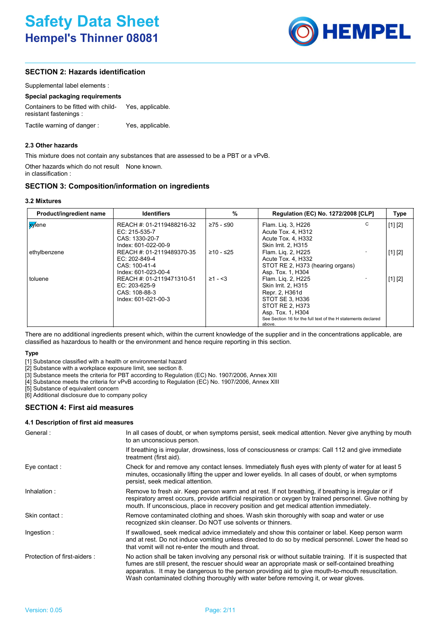

## **SECTION 2: Hazards identification**

| Supplemental label elements : |  |
|-------------------------------|--|
|-------------------------------|--|

### **Special packaging requirements**

Containers to be fitted with childresistant fastenings : Yes, applicable. Tactile warning of danger : Yes, applicable.

**2.3 Other hazards**

This mixture does not contain any substances that are assessed to be a PBT or a vPvB.

Other hazards which do not result None known. in classification :

### **SECTION 3: Composition/information on ingredients**

| Product/ingredient name | <b>Identifiers</b>                                                                  | %            | <b>Regulation (EC) No. 1272/2008 [CLP]</b>                                                                                                                                                        | <b>Type</b> |
|-------------------------|-------------------------------------------------------------------------------------|--------------|---------------------------------------------------------------------------------------------------------------------------------------------------------------------------------------------------|-------------|
| <b>xy</b> lene          | REACH #: 01-2119488216-32<br>EC: 215-535-7<br>CAS: 1330-20-7<br>Index: 601-022-00-9 | ≥75 - ≤90    | C<br>Flam. Liq. 3, H226<br>Acute Tox. 4, H312<br>Acute Tox. 4, H332<br>Skin Irrit. 2, H315                                                                                                        | [1] [2]     |
| ethylbenzene            | REACH #: 01-2119489370-35<br>EC: 202-849-4<br>CAS: 100-41-4<br>Index: 601-023-00-4  | $≥10 - ≤25$  | Flam. Lig. 2, H225<br>Acute Tox. 4, H332<br>STOT RE 2, H373 (hearing organs)<br>Asp. Tox. 1, H304                                                                                                 | [1] [2]     |
| toluene                 | REACH #: 01-2119471310-51<br>EC: 203-625-9<br>CAS: 108-88-3<br>Index: 601-021-00-3  | $\geq 1 - 3$ | Flam. Lig. 2, H225<br>Skin Irrit. 2, H315<br>Repr. 2, H361d<br>STOT SE 3, H336<br>STOT RE 2, H373<br>Asp. Tox. 1, H304<br>See Section 16 for the full text of the H statements declared<br>above. | [1] [2]     |

There are no additional ingredients present which, within the current knowledge of the supplier and in the concentrations applicable, are classified as hazardous to health or the environment and hence require reporting in this section.

### **Type**

[1] Substance classified with a health or environmental hazard

[2] Substance with a workplace exposure limit, see section 8.

[3] Substance meets the criteria for PBT according to Regulation (EC) No. 1907/2006, Annex XIII

[4] Substance meets the criteria for vPvB according to Regulation (EC) No. 1907/2006, Annex XIII

[5] Substance of equivalent concern

[6] Additional disclosure due to company policy

### **SECTION 4: First aid measures**

### **4.1 Description of first aid measures**

| General:                    | In all cases of doubt, or when symptoms persist, seek medical attention. Never give anything by mouth<br>to an unconscious person.                                                                                                                                                                                                                                                                         |
|-----------------------------|------------------------------------------------------------------------------------------------------------------------------------------------------------------------------------------------------------------------------------------------------------------------------------------------------------------------------------------------------------------------------------------------------------|
|                             | If breathing is irregular, drowsiness, loss of consciousness or cramps: Call 112 and give immediate<br>treatment (first aid).                                                                                                                                                                                                                                                                              |
| Eye contact :               | Check for and remove any contact lenses. Immediately flush eyes with plenty of water for at least 5<br>minutes, occasionally lifting the upper and lower eyelids. In all cases of doubt, or when symptoms<br>persist, seek medical attention.                                                                                                                                                              |
| Inhalation :                | Remove to fresh air. Keep person warm and at rest. If not breathing, if breathing is irregular or if<br>respiratory arrest occurs, provide artificial respiration or oxygen by trained personnel. Give nothing by<br>mouth. If unconscious, place in recovery position and get medical attention immediately.                                                                                              |
| Skin contact:               | Remove contaminated clothing and shoes. Wash skin thoroughly with soap and water or use<br>recognized skin cleanser. Do NOT use solvents or thinners.                                                                                                                                                                                                                                                      |
| Ingestion :                 | If swallowed, seek medical advice immediately and show this container or label. Keep person warm<br>and at rest. Do not induce vomiting unless directed to do so by medical personnel. Lower the head so<br>that vomit will not re-enter the mouth and throat.                                                                                                                                             |
| Protection of first-aiders: | No action shall be taken involving any personal risk or without suitable training. If it is suspected that<br>fumes are still present, the rescuer should wear an appropriate mask or self-contained breathing<br>apparatus. It may be dangerous to the person providing aid to give mouth-to-mouth resuscitation.<br>Wash contaminated clothing thoroughly with water before removing it, or wear gloves. |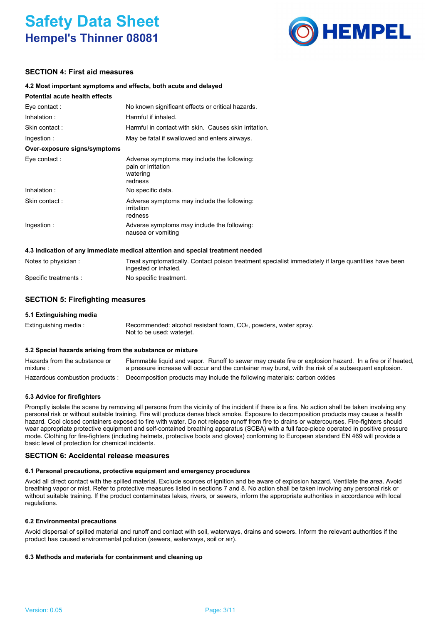## **Safety Data Sheet Hempel's Thinner 08081**



### **SECTION 4: First aid measures**

### **4.2 Most important symptoms and effects, both acute and delayed**

### **Potential acute health effects**

| . סוטווטומו מטמנט ווטמונוו טווטטנט |                                                                                          |
|------------------------------------|------------------------------------------------------------------------------------------|
| Eye contact:                       | No known significant effects or critical hazards.                                        |
| Inhalation:                        | Harmful if inhaled.                                                                      |
| Skin contact:                      | Harmful in contact with skin. Causes skin irritation.                                    |
| Ingestion:                         | May be fatal if swallowed and enters airways.                                            |
| Over-exposure signs/symptoms       |                                                                                          |
| Eye contact:                       | Adverse symptoms may include the following:<br>pain or irritation<br>watering<br>redness |
| Inhalation:                        | No specific data.                                                                        |
| Skin contact:                      | Adverse symptoms may include the following:<br>irritation<br>redness                     |
| Ingestion:                         | Adverse symptoms may include the following:<br>nausea or vomiting                        |
|                                    |                                                                                          |

### **4.3 Indication of any immediate medical attention and special treatment needed**

| Notes to physician :  | Treat symptomatically. Contact poison treatment specialist immediately if large quantities have been |
|-----------------------|------------------------------------------------------------------------------------------------------|
|                       | ingested or inhaled.                                                                                 |
| Specific treatments : | No specific treatment.                                                                               |

### **SECTION 5: Firefighting measures**

### **5.1 Extinguishing media**

| Extinguishing media : | Recommended: alcohol resistant foam, $CO2$ , powders, water spray. |  |
|-----------------------|--------------------------------------------------------------------|--|
|                       | Not to be used: wateriet.                                          |  |

### **5.2 Special hazards arising from the substance or mixture**

| Hazards from the substance or | Flammable liquid and vapor. Runoff to sewer may create fire or explosion hazard. In a fire or if heated,  |
|-------------------------------|-----------------------------------------------------------------------------------------------------------|
| mixture:                      | a pressure increase will occur and the container may burst, with the risk of a subsequent explosion.      |
|                               | Hazardous combustion products : Decomposition products may include the following materials: carbon oxides |

### **5.3 Advice for firefighters**

Promptly isolate the scene by removing all persons from the vicinity of the incident if there is a fire. No action shall be taken involving any personal risk or without suitable training. Fire will produce dense black smoke. Exposure to decomposition products may cause a health hazard. Cool closed containers exposed to fire with water. Do not release runoff from fire to drains or watercourses. Fire-fighters should wear appropriate protective equipment and self-contained breathing apparatus (SCBA) with a full face-piece operated in positive pressure mode. Clothing for fire-fighters (including helmets, protective boots and gloves) conforming to European standard EN 469 will provide a basic level of protection for chemical incidents.

### **SECTION 6: Accidental release measures**

### **6.1 Personal precautions, protective equipment and emergency procedures**

Avoid all direct contact with the spilled material. Exclude sources of ignition and be aware of explosion hazard. Ventilate the area. Avoid breathing vapor or mist. Refer to protective measures listed in sections 7 and 8. No action shall be taken involving any personal risk or without suitable training. If the product contaminates lakes, rivers, or sewers, inform the appropriate authorities in accordance with local regulations.

### **6.2 Environmental precautions**

Avoid dispersal of spilled material and runoff and contact with soil, waterways, drains and sewers. Inform the relevant authorities if the product has caused environmental pollution (sewers, waterways, soil or air).

### **6.3 Methods and materials for containment and cleaning up**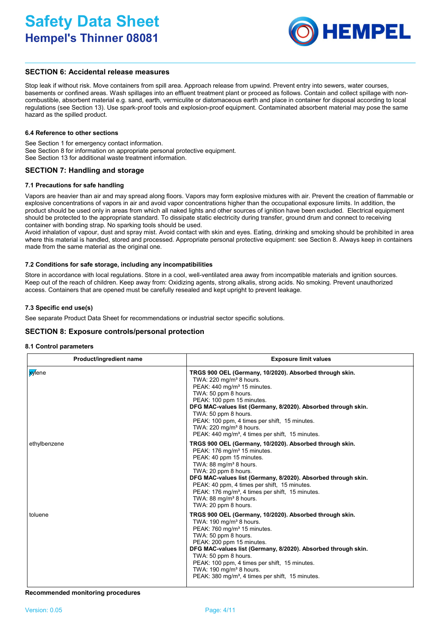

### **SECTION 6: Accidental release measures**

Stop leak if without risk. Move containers from spill area. Approach release from upwind. Prevent entry into sewers, water courses, basements or confined areas. Wash spillages into an effluent treatment plant or proceed as follows. Contain and collect spillage with noncombustible, absorbent material e.g. sand, earth, vermiculite or diatomaceous earth and place in container for disposal according to local regulations (see Section 13). Use spark-proof tools and explosion-proof equipment. Contaminated absorbent material may pose the same hazard as the spilled product.

### **6.4 Reference to other sections**

See Section 1 for emergency contact information. See Section 8 for information on appropriate personal protective equipment. See Section 13 for additional waste treatment information.

### **SECTION 7: Handling and storage**

#### **7.1 Precautions for safe handling**

Vapors are heavier than air and may spread along floors. Vapors may form explosive mixtures with air. Prevent the creation of flammable or explosive concentrations of vapors in air and avoid vapor concentrations higher than the occupational exposure limits. In addition, the product should be used only in areas from which all naked lights and other sources of ignition have been excluded. Electrical equipment should be protected to the appropriate standard. To dissipate static electricity during transfer, ground drum and connect to receiving container with bonding strap. No sparking tools should be used.

Avoid inhalation of vapour, dust and spray mist. Avoid contact with skin and eyes. Eating, drinking and smoking should be prohibited in area where this material is handled, stored and processed. Appropriate personal protective equipment: see Section 8. Always keep in containers made from the same material as the original one.

#### **7.2 Conditions for safe storage, including any incompatibilities**

Store in accordance with local regulations. Store in a cool, well-ventilated area away from incompatible materials and ignition sources. Keep out of the reach of children. Keep away from: Oxidizing agents, strong alkalis, strong acids. No smoking. Prevent unauthorized access. Containers that are opened must be carefully resealed and kept upright to prevent leakage.

#### **7.3 Specific end use(s)**

See separate Product Data Sheet for recommendations or industrial sector specific solutions.

### **SECTION 8: Exposure controls/personal protection**

#### **8.1 Control parameters**

| Product/ingredient name | <b>Exposure limit values</b>                                                                                                                                                                                                                                                                                                                                                                                                                   |
|-------------------------|------------------------------------------------------------------------------------------------------------------------------------------------------------------------------------------------------------------------------------------------------------------------------------------------------------------------------------------------------------------------------------------------------------------------------------------------|
| <mark>xy</mark> lene    | TRGS 900 OEL (Germany, 10/2020). Absorbed through skin.<br>TWA: 220 mg/m <sup>3</sup> 8 hours.<br>PEAK: 440 mg/m <sup>3</sup> 15 minutes.<br>TWA: 50 ppm 8 hours.<br>PEAK: 100 ppm 15 minutes.<br>DFG MAC-values list (Germany, 8/2020). Absorbed through skin.<br>TWA: 50 ppm 8 hours.<br>PEAK: 100 ppm, 4 times per shift, 15 minutes.<br>TWA: $220 \text{ mg/m}^3$ 8 hours.<br>PEAK: 440 mg/m <sup>3</sup> , 4 times per shift, 15 minutes. |
| ethylbenzene            | TRGS 900 OEL (Germany, 10/2020). Absorbed through skin.<br>PEAK: 176 mg/m <sup>3</sup> 15 minutes.<br>PEAK: 40 ppm 15 minutes.<br>TWA: 88 mg/m <sup>3</sup> 8 hours.<br>TWA: 20 ppm 8 hours.<br>DFG MAC-values list (Germany, 8/2020). Absorbed through skin.<br>PEAK: 40 ppm, 4 times per shift, 15 minutes.<br>PEAK: 176 mg/m <sup>3</sup> , 4 times per shift, 15 minutes.<br>TWA: 88 mg/m <sup>3</sup> 8 hours.<br>TWA: 20 ppm 8 hours.    |
| toluene                 | TRGS 900 OEL (Germany, 10/2020). Absorbed through skin.<br>TWA: $190 \text{ mg/m}^3$ 8 hours.<br>PEAK: 760 mg/m <sup>3</sup> 15 minutes.<br>TWA: 50 ppm 8 hours.<br>PEAK: 200 ppm 15 minutes.<br>DFG MAC-values list (Germany, 8/2020). Absorbed through skin.<br>TWA: 50 ppm 8 hours.<br>PEAK: 100 ppm, 4 times per shift, 15 minutes.<br>TWA: $190 \text{ mg/m}^3$ 8 hours.<br>PEAK: 380 mg/m <sup>3</sup> , 4 times per shift, 15 minutes.  |

**Recommended monitoring procedures**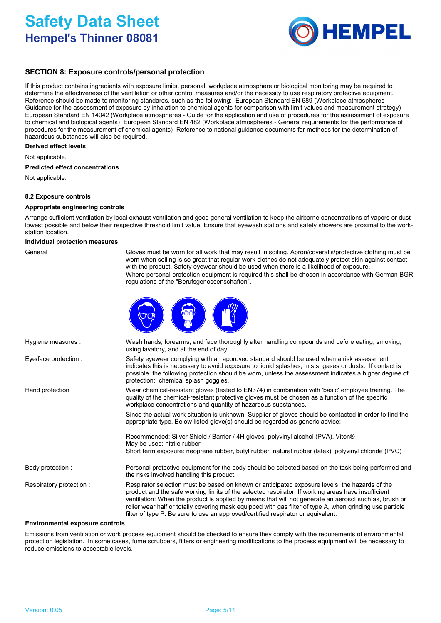

### **SECTION 8: Exposure controls/personal protection**

If this product contains ingredients with exposure limits, personal, workplace atmosphere or biological monitoring may be required to determine the effectiveness of the ventilation or other control measures and/or the necessity to use respiratory protective equipment. Reference should be made to monitoring standards, such as the following: European Standard EN 689 (Workplace atmospheres - Guidance for the assessment of exposure by inhalation to chemical agents for comparison with limit values and measurement strategy) European Standard EN 14042 (Workplace atmospheres - Guide for the application and use of procedures for the assessment of exposure to chemical and biological agents) European Standard EN 482 (Workplace atmospheres - General requirements for the performance of procedures for the measurement of chemical agents) Reference to national guidance documents for methods for the determination of hazardous substances will also be required.

#### **Derived effect levels**

Not applicable.

#### **Predicted effect concentrations**

Not applicable.

### **8.2 Exposure controls**

### **Appropriate engineering controls**

Arrange sufficient ventilation by local exhaust ventilation and good general ventilation to keep the airborne concentrations of vapors or dust lowest possible and below their respective threshold limit value. Ensure that eyewash stations and safety showers are proximal to the workstation location.

#### **Individual protection measures**

| General |
|---------|
|         |

Gloves must be worn for all work that may result in soiling. Apron/coveralls/protective clothing must be worn when soiling is so great that regular work clothes do not adequately protect skin against contact with the product. Safety eyewear should be used when there is a likelihood of exposure. Where personal protection equipment is required this shall be chosen in accordance with German BGR regulations of the "Berufsgenossenschaften".



| Hygiene measures :      | Wash hands, forearms, and face thoroughly after handling compounds and before eating, smoking,<br>using lavatory, and at the end of day.                                                                                                                                                                                                                                                                                                                                                                      |
|-------------------------|---------------------------------------------------------------------------------------------------------------------------------------------------------------------------------------------------------------------------------------------------------------------------------------------------------------------------------------------------------------------------------------------------------------------------------------------------------------------------------------------------------------|
| Eye/face protection :   | Safety eyewear complying with an approved standard should be used when a risk assessment<br>indicates this is necessary to avoid exposure to liquid splashes, mists, gases or dusts. If contact is<br>possible, the following protection should be worn, unless the assessment indicates a higher degree of<br>protection: chemical splash goggles.                                                                                                                                                           |
| Hand protection :       | Wear chemical-resistant gloves (tested to EN374) in combination with 'basic' employee training. The<br>quality of the chemical-resistant protective gloves must be chosen as a function of the specific<br>workplace concentrations and quantity of hazardous substances.                                                                                                                                                                                                                                     |
|                         | Since the actual work situation is unknown. Supplier of gloves should be contacted in order to find the<br>appropriate type. Below listed glove(s) should be regarded as generic advice:                                                                                                                                                                                                                                                                                                                      |
|                         | Recommended: Silver Shield / Barrier / 4H gloves, polyvinyl alcohol (PVA), Viton®<br>May be used: nitrile rubber                                                                                                                                                                                                                                                                                                                                                                                              |
|                         | Short term exposure: neoprene rubber, butyl rubber, natural rubber (latex), polyvinyl chloride (PVC)                                                                                                                                                                                                                                                                                                                                                                                                          |
| Body protection :       | Personal protective equipment for the body should be selected based on the task being performed and<br>the risks involved handling this product.                                                                                                                                                                                                                                                                                                                                                              |
| Respiratory protection: | Respirator selection must be based on known or anticipated exposure levels, the hazards of the<br>product and the safe working limits of the selected respirator. If working areas have insufficient<br>ventilation: When the product is applied by means that will not generate an aerosol such as, brush or<br>roller wear half or totally covering mask equipped with gas filter of type A, when grinding use particle<br>filter of type P. Be sure to use an approved/certified respirator or equivalent. |

#### **Environmental exposure controls**

Emissions from ventilation or work process equipment should be checked to ensure they comply with the requirements of environmental protection legislation. In some cases, fume scrubbers, filters or engineering modifications to the process equipment will be necessary to reduce emissions to acceptable levels.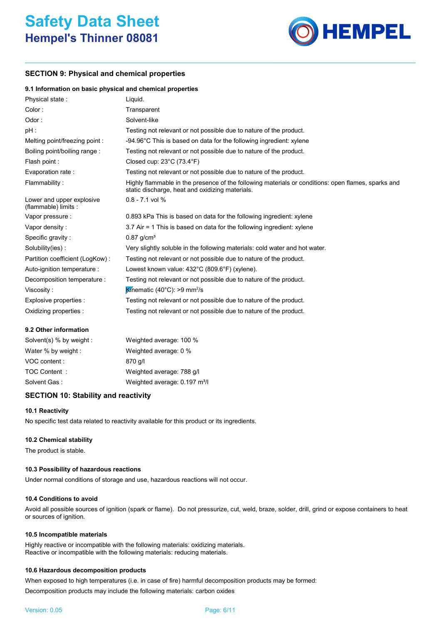

### **SECTION 9: Physical and chemical properties**

### **9.1 Information on basic physical and chemical properties**

| Physical state:                                   | Liquid.                                                                                                                                               |
|---------------------------------------------------|-------------------------------------------------------------------------------------------------------------------------------------------------------|
| Color:                                            | Transparent                                                                                                                                           |
| Odor:                                             | Solvent-like                                                                                                                                          |
| pH :                                              | Testing not relevant or not possible due to nature of the product.                                                                                    |
| Melting point/freezing point:                     | -94.96°C This is based on data for the following ingredient: xylene                                                                                   |
| Boiling point/boiling range:                      | Testing not relevant or not possible due to nature of the product.                                                                                    |
| Flash point :                                     | Closed cup: $23^{\circ}$ C (73.4 $^{\circ}$ F)                                                                                                        |
| Evaporation rate :                                | Testing not relevant or not possible due to nature of the product.                                                                                    |
| Flammability:                                     | Highly flammable in the presence of the following materials or conditions: open flames, sparks and<br>static discharge, heat and oxidizing materials. |
| Lower and upper explosive<br>(flammable) limits : | $0.8 - 7.1$ vol %                                                                                                                                     |
| Vapor pressure :                                  | 0.893 kPa This is based on data for the following ingredient: xylene                                                                                  |
| Vapor density:                                    | 3.7 Air = 1 This is based on data for the following ingredient: xylene                                                                                |
| Specific gravity:                                 | $0.87$ g/cm <sup>3</sup>                                                                                                                              |
| Solubility(ies):                                  | Very slightly soluble in the following materials: cold water and hot water.                                                                           |
| Partition coefficient (LogKow):                   | Testing not relevant or not possible due to nature of the product.                                                                                    |
| Auto-ignition temperature :                       | Lowest known value: 432°C (809.6°F) (xylene).                                                                                                         |
| Decomposition temperature :                       | Testing not relevant or not possible due to nature of the product.                                                                                    |
| Viscosity:                                        | <b>K</b> inematic (40°C): >9 mm <sup>2</sup> /s                                                                                                       |
| Explosive properties :                            | Testing not relevant or not possible due to nature of the product.                                                                                    |
| Oxidizing properties :                            | Testing not relevant or not possible due to nature of the product.                                                                                    |

### **9.2 Other information**

| Solvent(s) % by weight : | Weighted average: 100 %                   |
|--------------------------|-------------------------------------------|
| Water % by weight :      | Weighted average: 0 %                     |
| VOC content :            | 870 g/l                                   |
| TOC Content:             | Weighted average: 788 g/l                 |
| Solvent Gas:             | Weighted average: 0.197 m <sup>3</sup> /l |
|                          |                                           |

### **SECTION 10: Stability and reactivity**

### **10.1 Reactivity**

No specific test data related to reactivity available for this product or its ingredients.

### **10.2 Chemical stability**

The product is stable.

### **10.3 Possibility of hazardous reactions**

Under normal conditions of storage and use, hazardous reactions will not occur.

### **10.4 Conditions to avoid**

Avoid all possible sources of ignition (spark or flame). Do not pressurize, cut, weld, braze, solder, drill, grind or expose containers to heat or sources of ignition.

### **10.5 Incompatible materials**

Highly reactive or incompatible with the following materials: oxidizing materials. Reactive or incompatible with the following materials: reducing materials.

### **10.6 Hazardous decomposition products**

When exposed to high temperatures (i.e. in case of fire) harmful decomposition products may be formed: Decomposition products may include the following materials: carbon oxides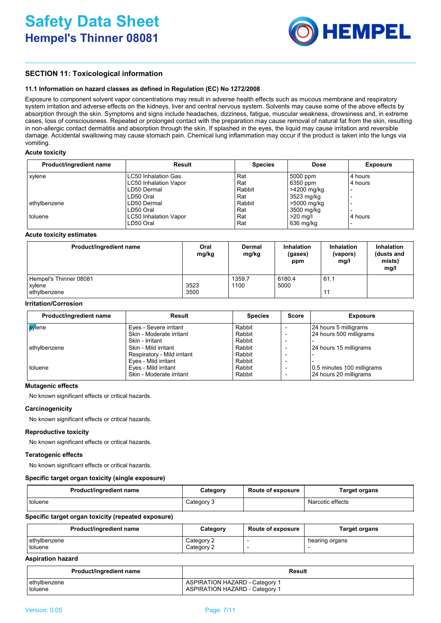

### **SECTION 11: Toxicological information**

### **11.1 Information on hazard classes as defined in Regulation (EC) No 1272/2008**

Exposure to component solvent vapor concentrations may result in adverse health effects such as mucous membrane and respiratory system irritation and adverse effects on the kidneys, liver and central nervous system. Solvents may cause some of the above effects by absorption through the skin. Symptoms and signs include headaches, dizziness, fatigue, muscular weakness, drowsiness and, in extreme cases, loss of consciousness. Repeated or prolonged contact with the preparation may cause removal of natural fat from the skin, resulting in non-allergic contact dermatitis and absorption through the skin. If splashed in the eyes, the liquid may cause irritation and reversible damage. Accidental swallowing may cause stomach pain. Chemical lung inflammation may occur if the product is taken into the lungs via vomiting.

### **Acute toxicity**

| Product/ingredient name | Result                      | <b>Species</b> | <b>Dose</b> | <b>Exposure</b> |
|-------------------------|-----------------------------|----------------|-------------|-----------------|
| xylene                  | <b>LC50 Inhalation Gas.</b> | Rat            | 5000 ppm    | l 4 hours       |
|                         | LC50 Inhalation Vapor       | Rat            | 6350 ppm    | 4 hours         |
|                         | LD50 Dermal                 | Rabbit         | >4200 mg/kg |                 |
|                         | LD50 Oral                   | Rat            | 3523 mg/kg  |                 |
| ethylbenzene            | LD50 Dermal                 | Rabbit         | >5000 mg/kg |                 |
|                         | LD50 Oral                   | Rat            | 3500 mg/kg  |                 |
| toluene                 | LC50 Inhalation Vapor       | Rat            | $>20$ ma/l  | 4 hours         |
|                         | LD50 Oral                   | Rat            | 636 mg/kg   |                 |

### **Acute toxicity estimates**

| Product/ingredient name                          | Oral<br>mg/kg | Dermal<br>mg/kg | <b>Inhalation</b><br>(gases)<br>ppm | <b>Inhalation</b><br>(vapors)<br>mq/l | <b>Inhalation</b><br>(dusts and<br>mists)<br>mg/l |
|--------------------------------------------------|---------------|-----------------|-------------------------------------|---------------------------------------|---------------------------------------------------|
| Hempel's Thinner 08081<br>xylene<br>ethylbenzene | 3523<br>3500  | 1359.7<br>1100  | 6180.4<br>5000                      | 61.1<br>11                            |                                                   |

### **Irritation/Corrosion**

| Product/ingredient name | Result                      | <b>Species</b> | <b>Score</b>             | <b>Exposure</b>            |
|-------------------------|-----------------------------|----------------|--------------------------|----------------------------|
| <b>x</b> ene            | Eyes - Severe irritant      | Rabbit         |                          | 24 hours 5 milligrams      |
|                         | Skin - Moderate irritant    | Rabbit         |                          | 24 hours 500 milligrams    |
|                         | Skin - Irritant             | Rabbit         |                          |                            |
| ethylbenzene            | Skin - Mild irritant        | Rabbit         |                          | 24 hours 15 milligrams     |
|                         | Respiratory - Mild irritant | Rabbit         |                          |                            |
|                         | Eyes - Mild irritant        | Rabbit         | $\overline{\phantom{0}}$ |                            |
| toluene                 | Eyes - Mild irritant        | Rabbit         |                          | 0.5 minutes 100 milligrams |
|                         | Skin - Moderate irritant    | Rabbit         | $\overline{\phantom{a}}$ | 24 hours 20 milligrams     |

### **Mutagenic effects**

No known significant effects or critical hazards.

### **Carcinogenicity**

No known significant effects or critical hazards.

### **Reproductive toxicity**

No known significant effects or critical hazards.

### **Teratogenic effects**

No known significant effects or critical hazards.

### **Specific target organ toxicity (single exposure)**

| Product/ingredient name | Category   | <b>Route of exposure</b> | <b>Target organs</b> |
|-------------------------|------------|--------------------------|----------------------|
| toluene                 | Category 3 |                          | Narcotic effects     |

### **Specific target organ toxicity (repeated exposure)**

| Product/ingredient name | Category   | <b>Route of exposure</b> | Target organs  |
|-------------------------|------------|--------------------------|----------------|
| ethylbenzene            | Category 2 |                          | hearing organs |
| toluene                 | Category 2 |                          |                |

### **Aspiration hazard**

| Product/ingredient name | Result                                |
|-------------------------|---------------------------------------|
| ethylbenzene            | ASPIRATION HAZARD - Category 1        |
| toluene                 | <b>ASPIRATION HAZARD - Category 1</b> |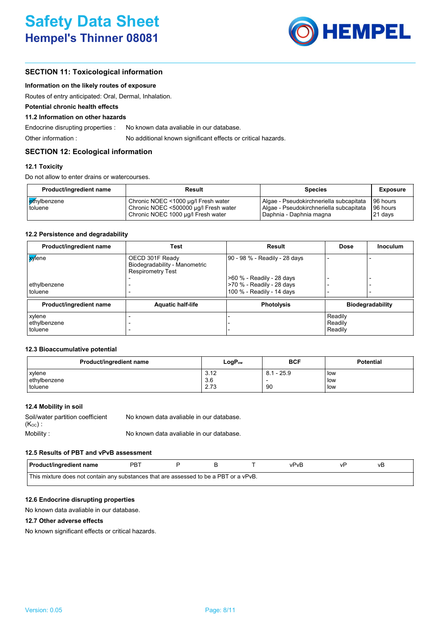

### **SECTION 11: Toxicological information**

### **Information on the likely routes of exposure**

Routes of entry anticipated: Oral, Dermal, Inhalation.

### **Potential chronic health effects**

#### **11.2 Information on other hazards**

Endocrine disrupting properties : No known data avaliable in our database.

Other information : No additional known significant effects or critical hazards.

### **SECTION 12: Ecological information**

### **12.1 Toxicity**

Do not allow to enter drains or watercourses.

| <b>Product/ingredient name</b> | Result                                                                                                             | <b>Species</b>                                                                                                  | <b>Exposure</b>                 |
|--------------------------------|--------------------------------------------------------------------------------------------------------------------|-----------------------------------------------------------------------------------------------------------------|---------------------------------|
| ethylbenzene<br>toluene        | Chronic NOEC <1000 µg/l Fresh water<br>Chronic NOEC <500000 µg/l Fresh water<br>Chronic NOEC 1000 µg/l Fresh water | Algae - Pseudokirchneriella subcapitata<br>Algae - Pseudokirchneriella subcapitata<br>  Daphnia - Daphnia magna | 96 hours<br>96 hours<br>21 days |

### **12.2 Persistence and degradability**

| Product/ingredient name | Test                                                                         | Result                        | <b>Dose</b> | Inoculum                |
|-------------------------|------------------------------------------------------------------------------|-------------------------------|-------------|-------------------------|
| <mark>xy</mark> lene    | OECD 301F Ready<br>Biodegradability - Manometric<br><b>Respirometry Test</b> | 90 - 98 % - Readily - 28 days |             |                         |
|                         |                                                                              | >60 % - Readily - 28 days     |             |                         |
| ethylbenzene            |                                                                              | >70 % - Readily - 28 days     |             |                         |
| toluene                 |                                                                              | 100 % - Readily - 14 days     |             |                         |
| Product/ingredient name | <b>Aquatic half-life</b>                                                     | <b>Photolysis</b>             |             | <b>Biodegradability</b> |
| xylene                  |                                                                              |                               | Readily     |                         |
| ethylbenzene            |                                                                              |                               | Readily     |                         |
| toluene                 |                                                                              |                               | Readily     |                         |

### **12.3 Bioaccumulative potential**

| Product/ingredient name | $LogP_{ow}$ | <b>BCF</b>   | <b>Potential</b> |
|-------------------------|-------------|--------------|------------------|
| xylene                  | 3.12        | $8.1 - 25.9$ | low              |
| ethylbenzene            | 3.6         |              | low              |
| toluene                 | 2.73        | 90           | low              |

### **12.4 Mobility in soil**

| Soil/water partition coefficient | No known data avaliable in our database. |
|----------------------------------|------------------------------------------|
| $(K_{\mathrm{oc}})$ :            |                                          |
| Mobility:                        | No known data avaliable in our database. |

### **12.5 Results of PBT and vPvB assessment**

| <b>Product/ingredient name</b>                                                        | רBף |  |  |  | vPvR |  | vь |  |
|---------------------------------------------------------------------------------------|-----|--|--|--|------|--|----|--|
| This mixture does not contain any substances that are assessed to be a PBT or a vPvB. |     |  |  |  |      |  |    |  |

### **12.6 Endocrine disrupting properties**

No known data avaliable in our database.

### **12.7 Other adverse effects**

No known significant effects or critical hazards.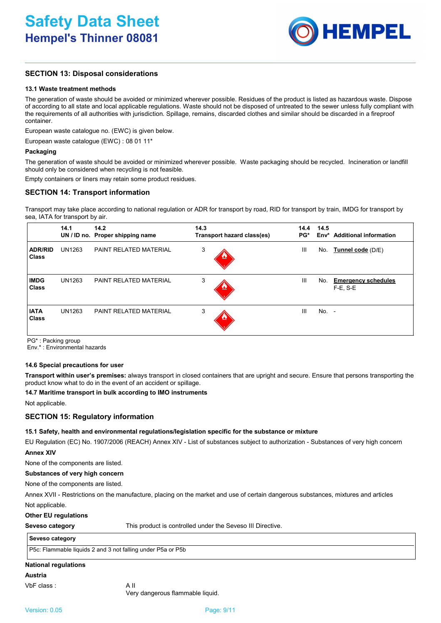

## **SECTION 13: Disposal considerations**

### **13.1 Waste treatment methods**

The generation of waste should be avoided or minimized wherever possible. Residues of the product is listed as hazardous waste. Dispose of according to all state and local applicable regulations. Waste should not be disposed of untreated to the sewer unless fully compliant with the requirements of all authorities with jurisdiction. Spillage, remains, discarded clothes and similar should be discarded in a fireproof container.

European waste catalogue no. (EWC) is given below.

European waste catalogue (EWC) : 08 01 11\*

### **Packaging**

The generation of waste should be avoided or minimized wherever possible. Waste packaging should be recycled. Incineration or landfill should only be considered when recycling is not feasible.

Empty containers or liners may retain some product residues.

### **SECTION 14: Transport information**

Transport may take place according to national regulation or ADR for transport by road, RID for transport by train, IMDG for transport by sea, IATA for transport by air.

|                                | 14.1          | 14.2<br>UN / ID no. Proper shipping name | 14.3<br>Transport hazard class(es) | 14.4<br>PG* | 14.5    | Env <sup>*</sup> Additional information     |
|--------------------------------|---------------|------------------------------------------|------------------------------------|-------------|---------|---------------------------------------------|
| <b>ADR/RID</b><br><b>Class</b> | <b>UN1263</b> | PAINT RELATED MATERIAL                   | 3                                  | Ш           | No.     | Tunnel code (D/E)                           |
| <b>IMDG</b><br><b>Class</b>    | UN1263        | <b>PAINT RELATED MATERIAL</b>            | 3                                  | Ш           | No.     | <b>Emergency schedules</b><br>$F-E$ , $S-E$ |
| <b>IATA</b><br><b>Class</b>    | UN1263        | <b>PAINT RELATED MATERIAL</b>            | 3<br>$\mathbf{z}$                  | Ш           | $No. -$ |                                             |

PG\* : Packing group

Env.\* : Environmental hazards

### **14.6 Special precautions for user**

**Transport within user's premises:** always transport in closed containers that are upright and secure. Ensure that persons transporting the product know what to do in the event of an accident or spillage.

### **14.7 Maritime transport in bulk according to IMO instruments**

Not applicable.

### **SECTION 15: Regulatory information**

### **15.1 Safety, health and environmental regulations/legislation specific for the substance or mixture**

EU Regulation (EC) No. 1907/2006 (REACH) Annex XIV - List of substances subject to authorization - Substances of very high concern **Annex XIV**

None of the components are listed.

### **Substances of very high concern**

None of the components are listed.

Not applicable. Annex XVII - Restrictions on the manufacture, placing on the market and use of certain dangerous substances, mixtures and articles

### **Other EU regulations**

**Seveso category** This product is controlled under the Seveso III Directive.

### **Seveso category**

P5c: Flammable liquids 2 and 3 not falling under P5a or P5b

### **National regulations**

### **Austria**

VbF class : A II

Very dangerous flammable liquid.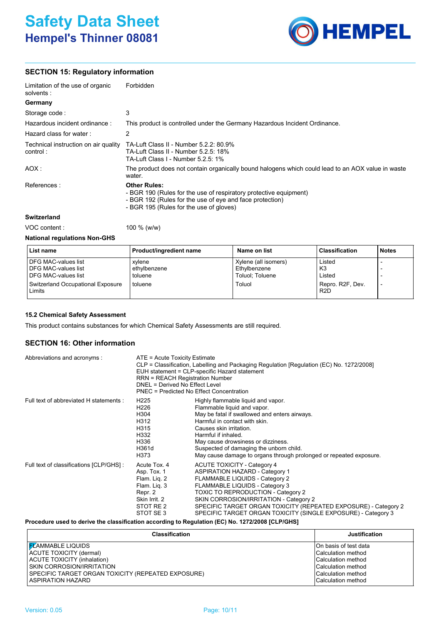# **Safety Data Sheet Hempel's Thinner 08081**



### **SECTION 15: Regulatory information**

| Limitation of the use of organic<br>solvents :   | Forbidden                                                                                                                                                                                       |
|--------------------------------------------------|-------------------------------------------------------------------------------------------------------------------------------------------------------------------------------------------------|
| Germany                                          |                                                                                                                                                                                                 |
| Storage code :                                   | 3                                                                                                                                                                                               |
| Hazardous incident ordinance :                   | This product is controlled under the Germany Hazardous Incident Ordinance.                                                                                                                      |
| Hazard class for water:                          | 2                                                                                                                                                                                               |
| Technical instruction on air quality<br>control: | TA-Luft Class II - Number 5.2.2: 80.9%<br>TA-Luft Class II - Number 5.2.5: 18%<br>TA-Luft Class L- Number 5.2.5: 1%                                                                             |
| AOX :                                            | The product does not contain organically bound halogens which could lead to an AOX value in waste<br>water.                                                                                     |
| References:                                      | <b>Other Rules:</b><br>- BGR 190 (Rules for the use of respiratory protective equipment)<br>- BGR 192 (Rules for the use of eye and face protection)<br>- BGR 195 (Rules for the use of gloves) |
| Switzerland                                      |                                                                                                                                                                                                 |

VOC content : 100 % (w/w)

### **National regulations Non-GHS**

| List name                                                                       | Product/ingredient name           | Name on list                                            | <b>Classification</b>                | <b>Notes</b> |
|---------------------------------------------------------------------------------|-----------------------------------|---------------------------------------------------------|--------------------------------------|--------------|
| <b>DFG MAC-values list</b><br><b>DFG MAC-values list</b><br>DFG MAC-values list | xvlene<br>ethylbenzene<br>toluene | Xylene (all isomers)<br>Ethylbenzene<br>Toluol: Toluene | Listed<br>K3<br>Listed               |              |
| <b>Switzerland Occupational Exposure</b><br>Limits                              | toluene                           | Toluol                                                  | Repro, R2F, Dev.<br>R <sub>2</sub> D |              |

### **15.2 Chemical Safety Assessment**

This product contains substances for which Chemical Safety Assessments are still required.

### **SECTION 16: Other information**

| Abbreviations and acronyms :             | ATE = Acute Toxicity Estimate<br>CLP = Classification, Labelling and Packaging Regulation [Regulation (EC) No. 1272/2008]<br>EUH statement = CLP-specific Hazard statement<br><b>RRN = REACH Registration Number</b><br>DNEL = Derived No Effect Level<br><b>PNEC</b> = Predicted No Effect Concentration |                                                                                                                                                                                                                                                                                                                                                                            |  |
|------------------------------------------|-----------------------------------------------------------------------------------------------------------------------------------------------------------------------------------------------------------------------------------------------------------------------------------------------------------|----------------------------------------------------------------------------------------------------------------------------------------------------------------------------------------------------------------------------------------------------------------------------------------------------------------------------------------------------------------------------|--|
| Full text of abbreviated H statements :  | H <sub>225</sub><br>H226<br>H304<br>H312<br>H315<br>H332<br>H336<br>H361d<br>H373                                                                                                                                                                                                                         | Highly flammable liquid and vapor.<br>Flammable liquid and vapor.<br>May be fatal if swallowed and enters airways.<br>Harmful in contact with skin.<br>Causes skin irritation.<br>Harmful if inhaled.<br>May cause drowsiness or dizziness.<br>Suspected of damaging the unborn child.<br>May cause damage to organs through prolonged or repeated exposure.               |  |
| Full text of classifications [CLP/GHS] : | Acute Tox, 4<br>Asp. Tox. 1<br>Flam. Liq. 2<br>Flam. Lig. 3<br>Repr. 2<br>Skin Irrit. 2<br>STOT RE 2<br>STOT SE3                                                                                                                                                                                          | <b>ACUTE TOXICITY - Category 4</b><br><b>ASPIRATION HAZARD - Category 1</b><br>FLAMMABLE LIQUIDS - Category 2<br>FLAMMABLE LIQUIDS - Category 3<br><b>TOXIC TO REPRODUCTION - Category 2</b><br>SKIN CORROSION/IRRITATION - Category 2<br>SPECIFIC TARGET ORGAN TOXICITY (REPEATED EXPOSURE) - Category 2<br>SPECIFIC TARGET ORGAN TOXICITY (SINGLE EXPOSURE) - Category 3 |  |

**Procedure used to derive the classification according to Regulation (EC) No. 1272/2008 [CLP/GHS]**

| <b>Classification</b>                              | <b>Justification</b>      |
|----------------------------------------------------|---------------------------|
| I <mark>F</mark> LAMMABLE LIQUIDS                  | On basis of test data     |
| ACUTE TOXICITY (dermal)                            | Calculation method        |
| <b>ACUTE TOXICITY (inhalation)</b>                 | Calculation method        |
| SKIN CORROSION/IRRITATION                          | Calculation method        |
| SPECIFIC TARGET ORGAN TOXICITY (REPEATED EXPOSURE) | <b>Calculation method</b> |
| <b>ASPIRATION HAZARD</b>                           | <b>Calculation method</b> |